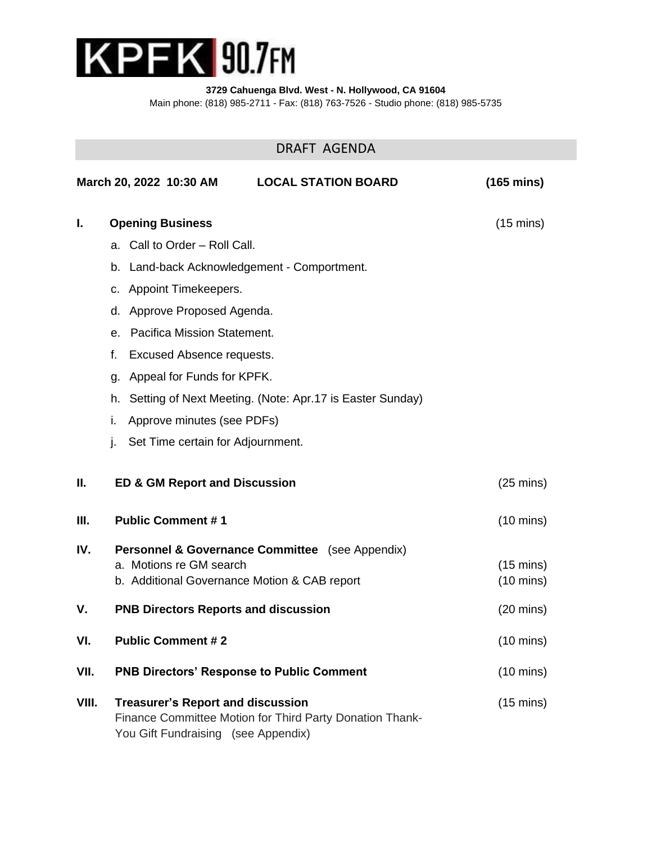

**3729 Cahuenga Blvd. West - N. Hollywood, CA 91604**

Main phone: (818) 985-2711 - Fax: (818) 763-7526 - Studio phone: (818) 985-5735

# DRAFT AGENDA

|       | <b>LOCAL STATION BOARD</b><br>March 20, 2022 10:30 AM                                                                                       | $(165 \text{ mins})$ |
|-------|---------------------------------------------------------------------------------------------------------------------------------------------|----------------------|
| I.    | <b>Opening Business</b>                                                                                                                     | $(15 \text{ mins})$  |
|       | a. Call to Order - Roll Call.                                                                                                               |                      |
|       | b. Land-back Acknowledgement - Comportment.                                                                                                 |                      |
|       | c. Appoint Timekeepers.                                                                                                                     |                      |
|       | Approve Proposed Agenda.<br>d.                                                                                                              |                      |
|       | Pacifica Mission Statement.<br>е.                                                                                                           |                      |
|       | <b>Excused Absence requests.</b><br>f.                                                                                                      |                      |
|       | Appeal for Funds for KPFK.<br>g.                                                                                                            |                      |
|       | Setting of Next Meeting. (Note: Apr.17 is Easter Sunday)<br>h.                                                                              |                      |
|       | Approve minutes (see PDFs)<br>i.                                                                                                            |                      |
|       | Set Time certain for Adjournment.<br>j.                                                                                                     |                      |
| П.    | <b>ED &amp; GM Report and Discussion</b>                                                                                                    | $(25 \text{ mins})$  |
| Ш.    | <b>Public Comment #1</b>                                                                                                                    | $(10 \text{ mins})$  |
| IV.   | <b>Personnel &amp; Governance Committee</b> (see Appendix)                                                                                  |                      |
|       | a. Motions re GM search                                                                                                                     | $(15 \text{ mins})$  |
|       | b. Additional Governance Motion & CAB report                                                                                                | $(10 \text{ mins})$  |
| ۷.    | <b>PNB Directors Reports and discussion</b>                                                                                                 | $(20 \text{ mins})$  |
| VI.   | <b>Public Comment #2</b>                                                                                                                    | $(10 \text{ mins})$  |
| VII.  | <b>PNB Directors' Response to Public Comment</b>                                                                                            | $(10 \text{ mins})$  |
| VIII. | <b>Treasurer's Report and discussion</b><br>Finance Committee Motion for Third Party Donation Thank-<br>You Gift Fundraising (see Appendix) | $(15 \text{ mins})$  |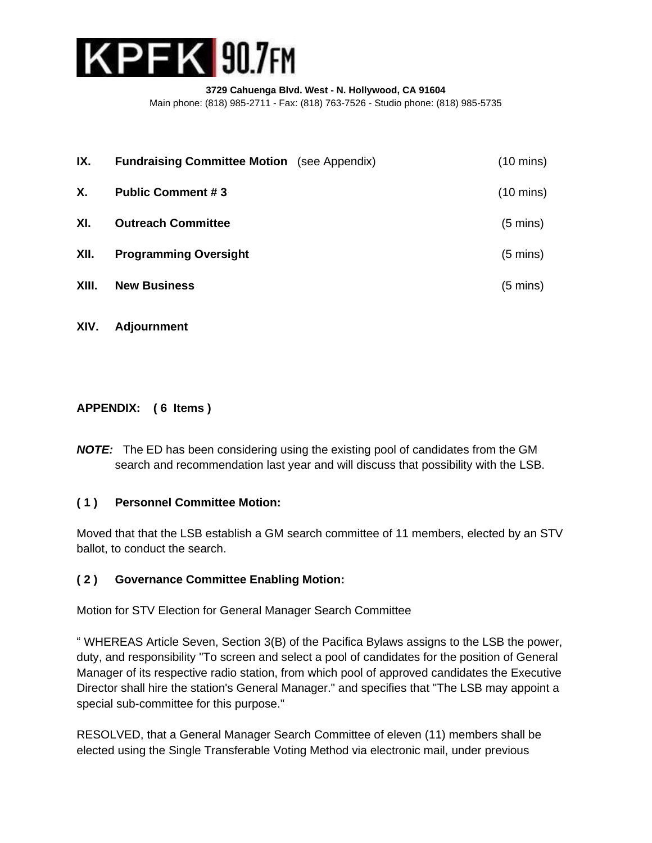

| IX.   | <b>Fundraising Committee Motion</b> (see Appendix) | $(10 \text{ mins})$ |
|-------|----------------------------------------------------|---------------------|
| X.    | <b>Public Comment #3</b>                           | $(10 \text{ mins})$ |
| XI.   | <b>Outreach Committee</b>                          | $(5 \text{ mins})$  |
| XII.  | <b>Programming Oversight</b>                       | $(5 \text{ mins})$  |
| XIII. | <b>New Business</b>                                | $(5 \text{ mins})$  |
|       |                                                    |                     |

**XIV. Adjournment**

### **APPENDIX: ( 6 Items )**

*NOTE:* The ED has been considering using the existing pool of candidates from the GM search and recommendation last year and will discuss that possibility with the LSB.

### **( 1 ) Personnel Committee Motion:**

Moved that that the LSB establish a GM search committee of 11 members, elected by an STV ballot, to conduct the search.

### **( 2 ) Governance Committee Enabling Motion:**

Motion for STV Election for General Manager Search Committee

" WHEREAS Article Seven, Section 3(B) of the Pacifica Bylaws assigns to the LSB the power, duty, and responsibility "To screen and select a pool of candidates for the position of General Manager of its respective radio station, from which pool of approved candidates the Executive Director shall hire the station's General Manager." and specifies that "The LSB may appoint a special sub-committee for this purpose."

RESOLVED, that a General Manager Search Committee of eleven (11) members shall be elected using the Single Transferable Voting Method via electronic mail, under previous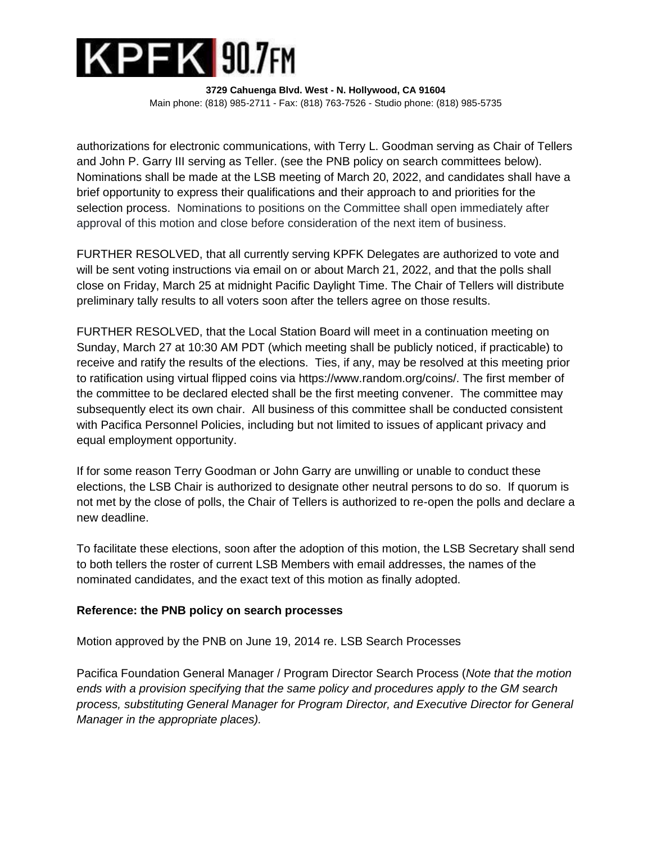

authorizations for electronic communications, with Terry L. Goodman serving as Chair of Tellers and John P. Garry III serving as Teller. (see the PNB policy on search committees below). Nominations shall be made at the LSB meeting of March 20, 2022, and candidates shall have a brief opportunity to express their qualifications and their approach to and priorities for the selection process. Nominations to positions on the Committee shall open immediately after approval of this motion and close before consideration of the next item of business.

FURTHER RESOLVED, that all currently serving KPFK Delegates are authorized to vote and will be sent voting instructions via email on or about March 21, 2022, and that the polls shall close on Friday, March 25 at midnight Pacific Daylight Time. The Chair of Tellers will distribute preliminary tally results to all voters soon after the tellers agree on those results.

FURTHER RESOLVED, that the Local Station Board will meet in a continuation meeting on Sunday, March 27 at 10:30 AM PDT (which meeting shall be publicly noticed, if practicable) to receive and ratify the results of the elections. Ties, if any, may be resolved at this meeting prior to ratification using virtual flipped coins via https://www.random.org/coins/. The first member of the committee to be declared elected shall be the first meeting convener. The committee may subsequently elect its own chair. All business of this committee shall be conducted consistent with Pacifica Personnel Policies, including but not limited to issues of applicant privacy and equal employment opportunity.

If for some reason Terry Goodman or John Garry are unwilling or unable to conduct these elections, the LSB Chair is authorized to designate other neutral persons to do so. If quorum is not met by the close of polls, the Chair of Tellers is authorized to re-open the polls and declare a new deadline.

To facilitate these elections, soon after the adoption of this motion, the LSB Secretary shall send to both tellers the roster of current LSB Members with email addresses, the names of the nominated candidates, and the exact text of this motion as finally adopted.

### **Reference: the PNB policy on search processes**

Motion approved by the PNB on June 19, 2014 re. LSB Search Processes

Pacifica Foundation General Manager / Program Director Search Process (*Note that the motion ends with a provision specifying that the same policy and procedures apply to the GM search process, substituting General Manager for Program Director, and Executive Director for General Manager in the appropriate places).*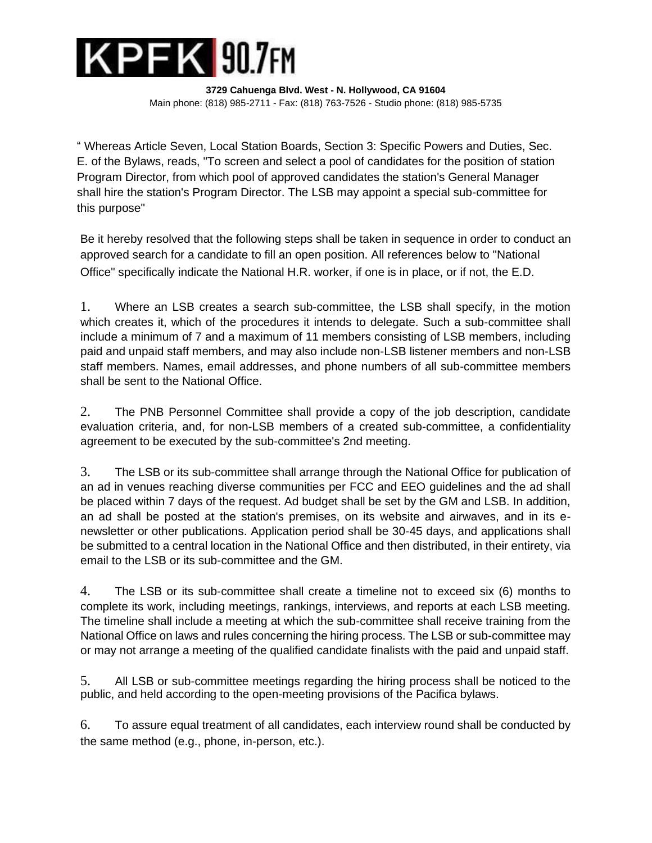

" Whereas Article Seven, Local Station Boards, Section 3: Specific Powers and Duties, Sec. E. of the Bylaws, reads, "To screen and select a pool of candidates for the position of station Program Director, from which pool of approved candidates the station's General Manager shall hire the station's Program Director. The LSB may appoint a special sub-committee for this purpose"

Be it hereby resolved that the following steps shall be taken in sequence in order to conduct an approved search for a candidate to fill an open position. All references below to "National Office" specifically indicate the National H.R. worker, if one is in place, or if not, the E.D.

1. Where an LSB creates a search sub-committee, the LSB shall specify, in the motion which creates it, which of the procedures it intends to delegate. Such a sub-committee shall include a minimum of 7 and a maximum of 11 members consisting of LSB members, including paid and unpaid staff members, and may also include non-LSB listener members and non-LSB staff members. Names, email addresses, and phone numbers of all sub-committee members shall be sent to the National Office.

2. The PNB Personnel Committee shall provide a copy of the job description, candidate evaluation criteria, and, for non-LSB members of a created sub-committee, a confidentiality agreement to be executed by the sub-committee's 2nd meeting.

3. The LSB or its sub-committee shall arrange through the National Office for publication of an ad in venues reaching diverse communities per FCC and EEO guidelines and the ad shall be placed within 7 days of the request. Ad budget shall be set by the GM and LSB. In addition, an ad shall be posted at the station's premises, on its website and airwaves, and in its enewsletter or other publications. Application period shall be 30-45 days, and applications shall be submitted to a central location in the National Office and then distributed, in their entirety, via email to the LSB or its sub-committee and the GM.

4. The LSB or its sub-committee shall create a timeline not to exceed six (6) months to complete its work, including meetings, rankings, interviews, and reports at each LSB meeting. The timeline shall include a meeting at which the sub-committee shall receive training from the National Office on laws and rules concerning the hiring process. The LSB or sub-committee may or may not arrange a meeting of the qualified candidate finalists with the paid and unpaid staff.

5. All LSB or sub-committee meetings regarding the hiring process shall be noticed to the public, and held according to the open-meeting provisions of the Pacifica bylaws.

6. To assure equal treatment of all candidates, each interview round shall be conducted by the same method (e.g., phone, in-person, etc.).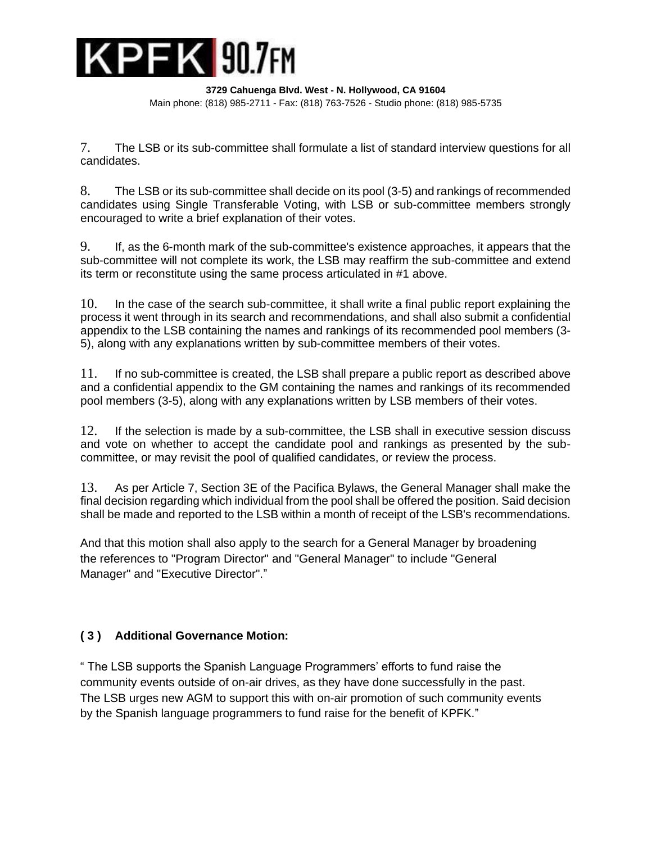

7. The LSB or its sub-committee shall formulate a list of standard interview questions for all candidates.

8. The LSB or its sub-committee shall decide on its pool (3-5) and rankings of recommended candidates using Single Transferable Voting, with LSB or sub-committee members strongly encouraged to write a brief explanation of their votes.

9. If, as the 6-month mark of the sub-committee's existence approaches, it appears that the sub-committee will not complete its work, the LSB may reaffirm the sub-committee and extend its term or reconstitute using the same process articulated in #1 above.

10. In the case of the search sub-committee, it shall write a final public report explaining the process it went through in its search and recommendations, and shall also submit a confidential appendix to the LSB containing the names and rankings of its recommended pool members (3- 5), along with any explanations written by sub-committee members of their votes.

11. If no sub-committee is created, the LSB shall prepare a public report as described above and a confidential appendix to the GM containing the names and rankings of its recommended pool members (3-5), along with any explanations written by LSB members of their votes.

12. If the selection is made by a sub-committee, the LSB shall in executive session discuss and vote on whether to accept the candidate pool and rankings as presented by the subcommittee, or may revisit the pool of qualified candidates, or review the process.

13. As per Article 7, Section 3E of the Pacifica Bylaws, the General Manager shall make the final decision regarding which individual from the pool shall be offered the position. Said decision shall be made and reported to the LSB within a month of receipt of the LSB's recommendations.

And that this motion shall also apply to the search for a General Manager by broadening the references to "Program Director" and "General Manager" to include "General Manager" and "Executive Director"."

## **( 3 ) Additional Governance Motion:**

" The LSB supports the Spanish Language Programmers' efforts to fund raise the community events outside of on-air drives, as they have done successfully in the past. The LSB urges new AGM to support this with on-air promotion of such community events by the Spanish language programmers to fund raise for the benefit of KPFK."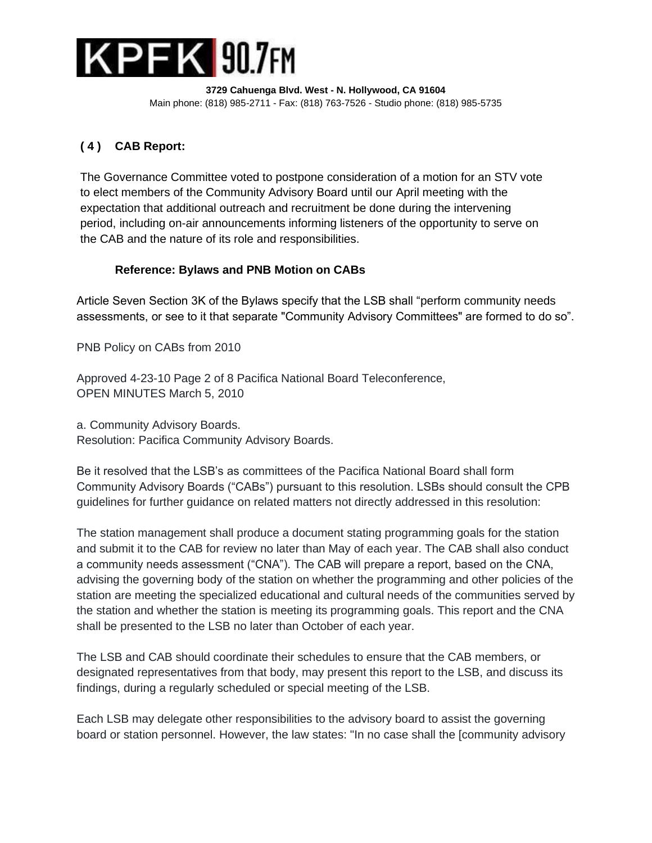

## **( 4 ) CAB Report:**

The Governance Committee voted to postpone consideration of a motion for an STV vote to elect members of the Community Advisory Board until our April meeting with the expectation that additional outreach and recruitment be done during the intervening period, including on-air announcements informing listeners of the opportunity to serve on the CAB and the nature of its role and responsibilities.

## **Reference: Bylaws and PNB Motion on CABs**

Article Seven Section 3K of the Bylaws specify that the LSB shall "perform community needs assessments, or see to it that separate "Community Advisory Committees" are formed to do so".

PNB Policy on CABs from 2010

Approved 4-23-10 Page 2 of 8 Pacifica National Board Teleconference, OPEN MINUTES March 5, 2010

a. Community Advisory Boards. Resolution: Pacifica Community Advisory Boards.

Be it resolved that the LSB's as committees of the Pacifica National Board shall form Community Advisory Boards ("CABs") pursuant to this resolution. LSBs should consult the CPB guidelines for further guidance on related matters not directly addressed in this resolution:

The station management shall produce a document stating programming goals for the station and submit it to the CAB for review no later than May of each year. The CAB shall also conduct a community needs assessment ("CNA"). The CAB will prepare a report, based on the CNA, advising the governing body of the station on whether the programming and other policies of the station are meeting the specialized educational and cultural needs of the communities served by the station and whether the station is meeting its programming goals. This report and the CNA shall be presented to the LSB no later than October of each year.

The LSB and CAB should coordinate their schedules to ensure that the CAB members, or designated representatives from that body, may present this report to the LSB, and discuss its findings, during a regularly scheduled or special meeting of the LSB.

Each LSB may delegate other responsibilities to the advisory board to assist the governing board or station personnel. However, the law states: "In no case shall the [community advisory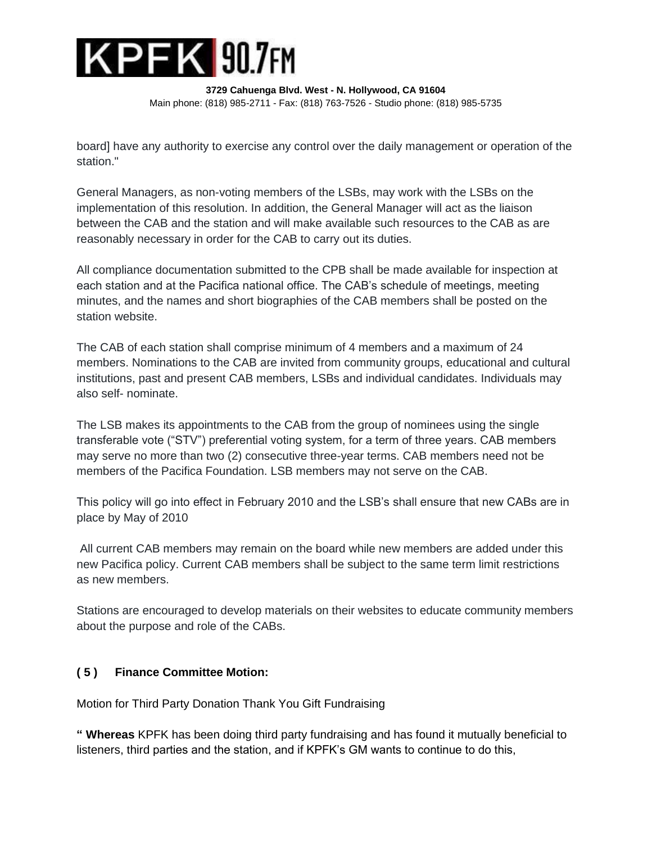

board] have any authority to exercise any control over the daily management or operation of the station."

General Managers, as non-voting members of the LSBs, may work with the LSBs on the implementation of this resolution. In addition, the General Manager will act as the liaison between the CAB and the station and will make available such resources to the CAB as are reasonably necessary in order for the CAB to carry out its duties.

All compliance documentation submitted to the CPB shall be made available for inspection at each station and at the Pacifica national office. The CAB's schedule of meetings, meeting minutes, and the names and short biographies of the CAB members shall be posted on the station website.

The CAB of each station shall comprise minimum of 4 members and a maximum of 24 members. Nominations to the CAB are invited from community groups, educational and cultural institutions, past and present CAB members, LSBs and individual candidates. Individuals may also self- nominate.

The LSB makes its appointments to the CAB from the group of nominees using the single transferable vote ("STV") preferential voting system, for a term of three years. CAB members may serve no more than two (2) consecutive three-year terms. CAB members need not be members of the Pacifica Foundation. LSB members may not serve on the CAB.

This policy will go into effect in February 2010 and the LSB's shall ensure that new CABs are in place by May of 2010

All current CAB members may remain on the board while new members are added under this new Pacifica policy. Current CAB members shall be subject to the same term limit restrictions as new members.

Stations are encouraged to develop materials on their websites to educate community members about the purpose and role of the CABs.

## **( 5 ) Finance Committee Motion:**

Motion for Third Party Donation Thank You Gift Fundraising

**" Whereas** KPFK has been doing third party fundraising and has found it mutually beneficial to listeners, third parties and the station, and if KPFK's GM wants to continue to do this,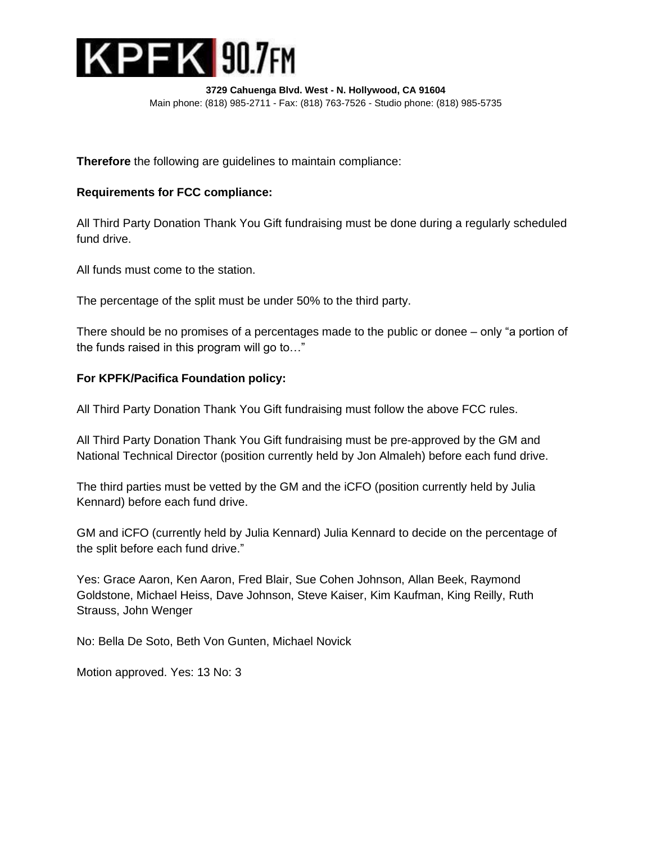

**Therefore** the following are guidelines to maintain compliance:

### **Requirements for FCC compliance:**

All Third Party Donation Thank You Gift fundraising must be done during a regularly scheduled fund drive.

All funds must come to the station.

The percentage of the split must be under 50% to the third party.

There should be no promises of a percentages made to the public or donee – only "a portion of the funds raised in this program will go to…"

### **For KPFK/Pacifica Foundation policy:**

All Third Party Donation Thank You Gift fundraising must follow the above FCC rules.

All Third Party Donation Thank You Gift fundraising must be pre-approved by the GM and National Technical Director (position currently held by Jon Almaleh) before each fund drive.

The third parties must be vetted by the GM and the iCFO (position currently held by Julia Kennard) before each fund drive.

GM and iCFO (currently held by Julia Kennard) Julia Kennard to decide on the percentage of the split before each fund drive."

Yes: Grace Aaron, Ken Aaron, Fred Blair, Sue Cohen Johnson, Allan Beek, Raymond Goldstone, Michael Heiss, Dave Johnson, Steve Kaiser, Kim Kaufman, King Reilly, Ruth Strauss, John Wenger

No: Bella De Soto, Beth Von Gunten, Michael Novick

Motion approved. Yes: 13 No: 3